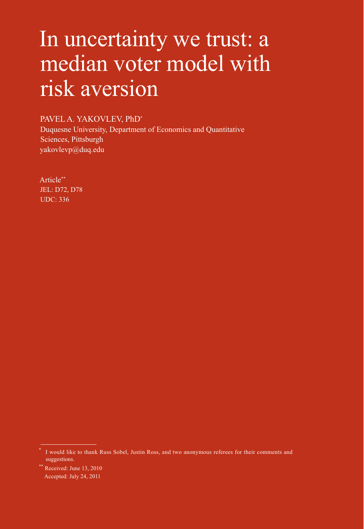# In uncertainty we trust: a median voter model with risk aversion

## PAVEL A. YAKOVLEV, PhD\*

Duquesne University, Department of Economics and Quantitative Sciences, Pittsburgh yakovlevp@duq.edu

Article\*\* JEL: D72, D78 UDC: 336

<sup>\*</sup> I would like to thank Russ Sobel, Justin Ross, and two anonymous referees for their comments and suggestions.

<sup>\*\*</sup> Received: June 13, 2010 Accepted: July 24, 2011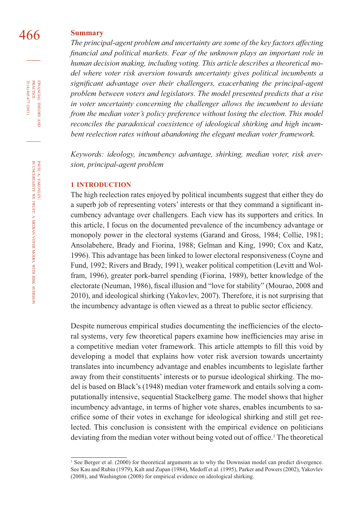# 466 **Summary**

*The principal-agent problem and uncertainty are some of the key factors affecting fi nancial and political markets. Fear of the unknown plays an important role in human decision making, including voting. This article describes a theoretical model where voter risk aversion towards uncertainty gives political incumbents a signifi cant advantage over their challengers, exacerbating the principal-agent problem between voters and legislators. The model presented predicts that a rise in voter uncertainty concerning the challenger allows the incumbent to deviate from the median voter's policy preference without losing the election. This model reconciles the paradoxical coexistence of ideological shirking and high incumbent reelection rates without abandoning the elegant median voter framework.*

*Keywords: ideology, incumbency advantage, shirking, median voter, risk aversion, principal-agent problem*

#### **1 INTRODUCTION**

The high reelection rates enjoyed by political incumbents suggest that either they do a superb job of representing voters' interests or that they command a significant incumbency advantage over challengers. Each view has its supporters and critics. In this article, I focus on the documented prevalence of the incumbency advantage or monopoly power in the electoral systems (Garand and Gross, 1984; Collie, 1981; Ansolabehere, Brady and Fiorina, 1988; Gelman and King, 1990; Cox and Katz, 1996). This advantage has been linked to lower electoral responsiveness (Coyne and Fund, 1992; Rivers and Brady, 1991), weaker political competition (Levitt and Wolfram, 1996), greater pork-barrel spending (Fiorina, 1989), better knowledge of the electorate (Neuman, 1986), fiscal illusion and "love for stability" (Mourao, 2008 and 2010), and ideological shirking (Yakovlev, 2007). Therefore, it is not surprising that the incumbency advantage is often viewed as a threat to public sector efficiency.

Despite numerous empirical studies documenting the inefficiencies of the electoral systems, very few theoretical papers examine how inefficiencies may arise in a competitive median voter framework. This article attempts to fill this void by developing a model that explains how voter risk aversion towards uncertainty translates into incumbency advantage and enables incumbents to legislate farther away from their constituents' interests or to pursue ideological shirking. The model is based on Black's (1948) median voter framework and entails solving a computationally intensive, sequential Stackelberg game. The model shows that higher incumbency advantage, in terms of higher vote shares, enables incumbents to sacrifice some of their votes in exchange for ideological shirking and still get reelected. This conclusion is consistent with the empirical evidence on politicians deviating from the median voter without being voted out of office.<sup>1</sup> The theoretical

35 (4) 465 477 (2011) FINANCIAL THEORY AND PRACTICE 35 (4) 465-477 (2011) PRACTICE FINANCIAL THEORY

<sup>&</sup>lt;sup>1</sup> See Berger et al. (2000) for theoretical arguments as to why the Downsian model can predict divergence. See Kau and Rubin (1979), Kalt and Zupan (1984), Medoff et al. (1995), Parker and Powers (2002), Yakovlev (2008), and Washington (2008) for empirical evidence on ideological shirking.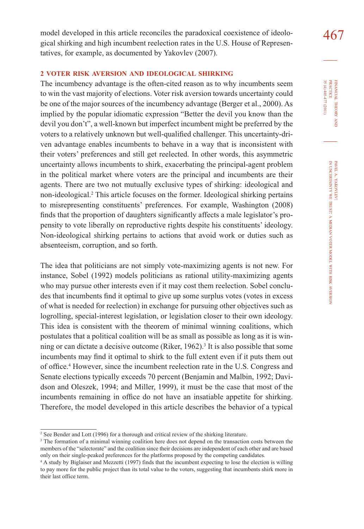model developed in this article reconciles the paradoxical coexistence of ideolo- $\frac{467}{ }$ gical shirking and high incumbent reelection rates in the U.S. House of Representatives, for example, as documented by Yakovlev (2007).

## **2 VOTER RISK AVERSION AND IDEOLOGICAL SHIRKING**

The incumbency advantage is the often-cited reason as to why incumbents seem to win the vast majority of elections. Voter risk aversion towards uncertainty could be one of the major sources of the incumbency advantage (Berger et al., 2000). As implied by the popular idiomatic expression "Better the devil you know than the devil you don't", a well-known but imperfect incumbent might be preferred by the voters to a relatively unknown but well-qualified challenger. This uncertainty-driven advantage enables incumbents to behave in a way that is inconsistent with their voters' preferences and still get reelected. In other words, this asymmetric uncertainty allows incumbents to shirk, exacerbating the principal-agent problem in the political market where voters are the principal and incumbents are their agents. There are two not mutually exclusive types of shirking: ideological and non-ideological.2 This article focuses on the former. Ideological shirking pertains to misrepresenting constituents' preferences. For example, Washington (2008) finds that the proportion of daughters significantly affects a male legislator's propensity to vote liberally on reproductive rights despite his constituents' ideology. Non-ideological shirking pertains to actions that avoid work or duties such as absenteeism, corruption, and so forth.

The idea that politicians are not simply vote-maximizing agents is not new. For instance, Sobel (1992) models politicians as rational utility-maximizing agents who may pursue other interests even if it may cost them reelection. Sobel concludes that incumbents find it optimal to give up some surplus votes (votes in excess of what is needed for reelection) in exchange for pursuing other objectives such as logrolling, special-interest legislation, or legislation closer to their own ideology. This idea is consistent with the theorem of minimal winning coalitions, which postulates that a political coalition will be as small as possible as long as it is winning or can dictate a decisive outcome (Riker, 1962).<sup>3</sup> It is also possible that some incumbents may find it optimal to shirk to the full extent even if it puts them out of office.<sup>4</sup> However, since the incumbent reelection rate in the U.S. Congress and Senate elections typically exceeds 70 percent (Benjamin and Malbin, 1992; Davidson and Oleszek, 1994; and Miller, 1999), it must be the case that most of the incumbents remaining in office do not have an insatiable appetite for shirking. Therefore, the model developed in this article describes the behavior of a typical

FINANCIAL THEORY FINANCIAL THEORY AND<br>PRACTICE<br>35 (4) 465-477 (2011) 35 (4) 465-477 (2011) PRACTICE

<sup>2</sup> See Bender and Lott (1996) for a thorough and critical review of the shirking literature.

<sup>&</sup>lt;sup>3</sup> The formation of a minimal winning coalition here does not depend on the transaction costs between the members of the "selectorate" and the coalition since their decisions are independent of each other and are based only on their single-peaked preferences for the platforms proposed by the competing candidates.

<sup>4</sup> A study by Biglaiser and Mezzetti (1997) finds that the incumbent expecting to lose the election is willing to pay more for the public project than its total value to the voters, suggesting that incumbents shirk more in their last office term.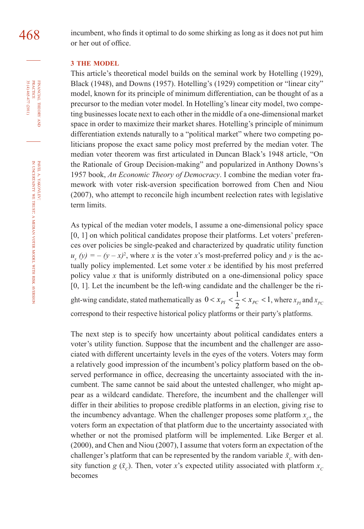#### **3 THE MODEL**

This article's theoretical model builds on the seminal work by Hotelling (1929), Black (1948), and Downs (1957). Hotelling's (1929) competition or "linear city" model, known for its principle of minimum differentiation, can be thought of as a precursor to the median voter model. In Hotelling's linear city model, two competing businesses locate next to each other in the middle of a one-dimensional market space in order to maximize their market shares. Hotelling's principle of minimum differentiation extends naturally to a "political market" where two competing politicians propose the exact same policy most preferred by the median voter. The median voter theorem was first articulated in Duncan Black's 1948 article, "On the Rationale of Group Decision-making" and popularized in Anthony Downs's 1957 book, *An Economic Theory of Democracy*. I combine the median voter framework with voter risk-aversion specification borrowed from Chen and Niou (2007), who attempt to reconcile high incumbent reelection rates with legislative term limits.

As typical of the median voter models, I assume a one-dimensional policy space [0, 1] on which political candidates propose their platforms. Let voters' preferences over policies be single-peaked and characterized by quadratic utility function  $u_x(y) = -(y-x)^2$ , where *x* is the voter *x*'s most-preferred policy and *y* is the actually policy implemented. Let some voter  $x$  be identified by his most preferred policy value *x* that is uniformly distributed on a one-dimensional policy space [0, 1]. Let the incumbent be the left-wing candidate and the challenger be the right-wing candidate, stated mathematically as  $0 < x_{PI} < \frac{1}{2} < x_{PC} < 1$ , where  $x_{PI}$  and  $x_{PC}$ correspond to their respective historical policy platforms or their party's platforms.

The next step is to specify how uncertainty about political candidates enters a voter's utility function. Suppose that the incumbent and the challenger are associated with different uncertainty levels in the eyes of the voters. Voters may form a relatively good impression of the incumbent's policy platform based on the observed performance in office, decreasing the uncertainty associated with the incumbent. The same cannot be said about the untested challenger, who might appear as a wildcard candidate. Therefore, the incumbent and the challenger will differ in their abilities to propose credible platforms in an election, giving rise to the incumbency advantage. When the challenger proposes some platform  $x_c$ , the voters form an expectation of that platform due to the uncertainty associated with whether or not the promised platform will be implemented. Like Berger et al. (2000), and Chen and Niou (2007), I assume that voters form an expectation of the challenger's platform that can be represented by the random variable  $\tilde{x}_c$  with density function *g* ( $\tilde{x}_c$ ). Then, voter *x*'s expected utility associated with platform  $x_c$ becomes

FINANCIAL THEORY AND PRACTICE 35 (4) 465 477 (2011) 35 (4) 465-477 (2011) PRACTICE FINANCIAL THEORY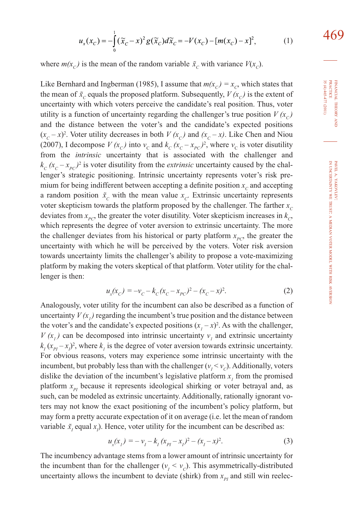$$
u_x(x_C) = -\int_0^1 (\tilde{x}_C - x)^2 g(\tilde{x}_C) d\tilde{x}_C = -V(x_C) - [m(x_C) - x]^2,
$$
 (1)

where  $m(x_c)$  is the mean of the random variable  $\tilde{x}_c$  with variance  $V(x_c)$ .

Like Bernhard and Ingberman (1985), I assume that  $m(x_c) = x_c$ , which states that the mean of  $\tilde{x}_c$  equals the proposed platform. Subsequently,  $V(x_c)$  is the extent of uncertainty with which voters perceive the candidate's real position. Thus, voter utility is a function of uncertainty regarding the challenger's true position  $V(x_c)$ and the distance between the voter's and the candidate's expected positions  $(x_c - x)^2$ . Voter utility decreases in both *V* ( $x_c$ ) and ( $x_c - x$ ). Like Chen and Niou (2007), I decompose  $V(x_c)$  into  $v_c$  and  $k_c$  ( $x_c - x_{pc}$ )<sup>2</sup>, where  $v_c$  is voter disutility from the *intrinsic* uncertainty that is associated with the challenger and  $k_c$  ( $x_c - x_{pc}$ )<sup>2</sup> is voter disutility from the *extrinsic* uncertainty caused by the challenger's strategic positioning. Intrinsic uncertainty represents voter's risk premium for being indifferent between accepting a definite position  $x_c$  and accepting a random position  $\tilde{x}_c$  with the mean value  $x_c$ . Extrinsic uncertainty represents voter skepticism towards the platform proposed by the challenger. The farther  $x_c$ deviates from  $x_{pc}$ , the greater the voter disutility. Voter skepticism increases in  $k_c$ , which represents the degree of voter aversion to extrinsic uncertainty. The more the challenger deviates from his historical or party platform  $x_{pc}$ , the greater the uncertainty with which he will be perceived by the voters. Voter risk aversion towards uncertainty limits the challenger's ability to propose a vote-maximizing platform by making the voters skeptical of that platform. Voter utility for the challenger is then:

$$
u_x(x_C) = -v_C - k_C(x_C - x_{PC})^2 - (x_C - x)^2.
$$
 (2)

Analogously, voter utility for the incumbent can also be described as a function of uncertainty  $V(x)$  regarding the incumbent's true position and the distance between the voter's and the candidate's expected positions  $(x_1 - x)^2$ . As with the challenger,  $V(x<sub>1</sub>)$  can be decomposed into intrinsic uncertainty  $v<sub>1</sub>$  and extrinsic uncertainty  $k_1$  ( $x_{p1} - x_1$ )<sup>2</sup>, where  $k_1$  is the degree of voter aversion towards extrinsic uncertainty. For obvious reasons, voters may experience some intrinsic uncertainty with the incumbent, but probably less than with the challenger  $(v_1 < v_c)$ . Additionally, voters dislike the deviation of the incumbent's legislative platform  $x_i$  from the promised platform  $x_{pI}$  because it represents ideological shirking or voter betrayal and, as such, can be modeled as extrinsic uncertainty. Additionally, rationally ignorant voters may not know the exact positioning of the incumbent's policy platform, but may form a pretty accurate expectation of it on average (i.e. let the mean of random variable  $\tilde{x}_i$  equal  $x_i$ ). Hence, voter utility for the incumbent can be described as:

$$
u_x(x_1) = -v_1 - k_1 (x_{p1} - x_1)^2 - (x_1 - x)^2.
$$
 (3)

The incumbency advantage stems from a lower amount of intrinsic uncertainty for the incumbent than for the challenger  $(v_1 < v_c)$ . This asymmetrically-distributed uncertainty allows the incumbent to deviate (shirk) from  $x_{p}$  and still win reelec469

FINANCIAL

THEORY FINANCIAL THEORY AND PRACTICE  $35 \left( 4 \right) 465 \cdot 477 \left( 2011 \right)$ 35 (4) 465-477 (2011) PRACTICE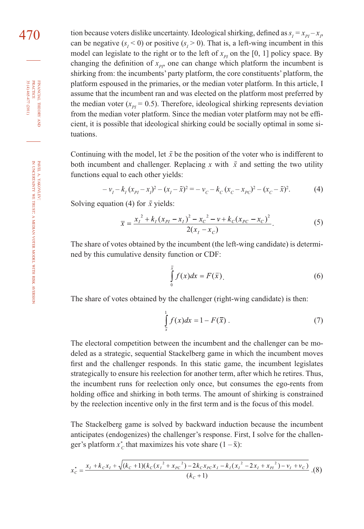470 tion because voters dislike uncertainty. Ideological shirking, defined as  $s_1 = x_{p1} - x_p$ <br>as he perspite  $(s \ge 0)$  or peritive  $(s \ge 0)$ . That is a left wing incumbent in this can be negative  $(s<sub>I</sub> < 0)$  or positive  $(s<sub>I</sub> > 0)$ . That is, a left-wing incumbent in this model can legislate to the right or to the left of  $x_{pI}$  on the [0, 1] policy space. By changing the definition of  $x_{pr}$ , one can change which platform the incumbent is shirking from: the incumbents' party platform, the core constituents' platform, the platform espoused in the primaries, or the median voter platform. In this article, I assume that the incumbent ran and was elected on the platform most preferred by the median voter  $(x_{pI} = 0.5)$ . Therefore, ideological shirking represents deviation from the median voter platform. Since the median voter platform may not be efficient, it is possible that ideological shirking could be socially optimal in some situations.

> Continuing with the model, let  $\bar{x}$  be the position of the voter who is indifferent to both incumbent and challenger. Replacing x with  $\bar{x}$  and setting the two utility functions equal to each other yields:

$$
-v_1 - k_1 (x_{p1} - x_p)^2 - (x_1 - \bar{x})^2 = -v_C - k_C (x_C - x_{pC})^2 - (x_C - \bar{x})^2.
$$
 (4)

Solving equation (4) for  $\bar{x}$  yields:

$$
\overline{x} = \frac{{x_1}^2 + k_I (x_{PI} - x_I)^2 - x_C^2 - v + k_C (x_{PC} - x_C)^2}{2(x_I - x_C)}.
$$
\n(5)

The share of votes obtained by the incumbent (the left-wing candidate) is determined by this cumulative density function or CDF:

$$
\int_{0}^{\overline{x}} f(x)dx = F(\overline{x}).
$$
\n(6)

The share of votes obtained by the challenger (right-wing candidate) is then:

$$
\int_{\overline{x}}^{1} f(x)dx = 1 - F(\overline{x}).
$$
\n(7)

The electoral competition between the incumbent and the challenger can be modeled as a strategic, sequential Stackelberg game in which the incumbent moves first and the challenger responds. In this static game, the incumbent legislates strategically to ensure his reelection for another term, after which he retires. Thus, the incumbent runs for reelection only once, but consumes the ego-rents from holding office and shirking in both terms. The amount of shirking is constrained by the reelection incentive only in the first term and is the focus of this model.

The Stackelberg game is solved by backward induction because the incumbent anticipates (endogenizes) the challenger's response. First, I solve for the challenger's platform  $x_c^*$  that maximizes his vote share  $(1 - \bar{x})$ :

$$
x_C^* = \frac{x_I + k_C x_I + \sqrt{(k_C + 1)(k_C (x_I^2 + x_{PC}^2) - 2k_C x_{PC} x_I - k_I (x_I^2 - 2x_I + x_{Pl}^2) - v_I + v_C)}}{(k_C + 1)} . (8)
$$

FINANCIAL

35 (4) 465-477 (2011)

THEORY FINANCIAL THEORY AND PRACTICE 35 (4) 465-477 (2011) PRACTICE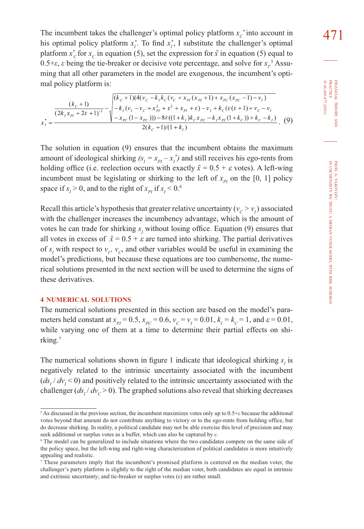The incumbent takes the challenger's optimal policy platform  $x_c^*$  into account in  $471$ his optimal policy platform  $x_i^*$ . To find  $x_i^*$ , I substitute the challenger's optimal platform  $x_c^*$  for  $x_c$  in equation (5), set the expression for  $\bar{x}$  in equation (5) equal to  $0.5 + \varepsilon$ ,  $\varepsilon$  being the tie-breaker or decisive vote percentage, and solve for  $x_r^s$ . Assuming that all other parameters in the model are exogenous, the incumbent's optimal policy platform is:

$$
\frac{(k_c+1)}{(2k_Ix_{PI}+2\varepsilon+1)^{-1}} - \sqrt{\frac{(k_c+1)(4(v_c-k_Ik_c(v_c+x_{PI}(x_{PI}+1))+x_{PC}(x_{PC}-1)-v_I)}{-k_I(v_I-v_c+x_{PI}^2+\varepsilon^2+x_{PI}+\varepsilon)-v_I+k_C(\varepsilon(\varepsilon+1)+v_c-v_I)}}{-x_{PC}(1-x_{PC})) - 8\varepsilon((1+k_I)k_cx_{PC}-k_Ix_{PI}(1+k_c))+k_c-k_I)}}.
$$
(9)

The solution in equation (9) ensures that the incumbent obtains the maximum amount of ideological shirking  $(s_I = x_{PI} - x_I^*)$  and still receives his ego-rents from holding office (i.e. reelection occurs with exactly  $\bar{x} = 0.5 + \varepsilon$  votes). A left-wing incumbent must be legislating or shirking to the left of  $x_{pI}$  on the [0, 1] policy space if  $s<sub>I</sub> > 0$ , and to the right of  $x<sub>PI</sub>$  if  $s<sub>I</sub> < 0.6$ 

Recall this article's hypothesis that greater relative uncertainty ( $v_c > v_l$ ) associated with the challenger increases the incumbency advantage, which is the amount of votes he can trade for shirking  $s<sub>I</sub>$  without losing office. Equation (9) ensures that all votes in excess of  $\bar{x} = 0.5 + \varepsilon$  are turned into shirking. The partial derivatives of  $s<sub>I</sub>$  with respect to  $v<sub>I</sub>$ ,  $v<sub>C</sub>$ , and other variables would be useful in examining the model's predictions, but because these equations are too cumbersome, the numerical solutions presented in the next section will be used to determine the signs of these derivatives.

#### **4 NUMERICAL SOLUTIONS**

The numerical solutions presented in this section are based on the model's parameters held constant at  $x_{PI} = 0.5$ ,  $x_{PC} = 0.6$ ,  $v_C = v_I = 0.01$ ,  $k_I = k_C = 1$ , and  $\varepsilon = 0.01$ , while varying one of them at a time to determine their partial effects on shirking.7

The numerical solutions shown in figure 1 indicate that ideological shirking  $s<sub>i</sub>$  is negatively related to the intrinsic uncertainty associated with the incumbent  $(ds_1/dv_1 < 0)$  and positively related to the intrinsic uncertainty associated with the challenger  $\left(\frac{ds}{t}/\frac{dv}{c} > 0\right)$ . The graphed solutions also reveal that shirking decreases

 $5$  As discussed in the previous section, the incumbent maximizes votes only up to  $0.5+\varepsilon$  because the additional votes beyond that amount do not contribute anything to victory or to the ego-rents from holding office, but do decrease shirking. In reality, a political candidate may not be able exercise this level of precision and may seek additional or surplus votes as a buffer, which can also be captured by *ε*.

<sup>6</sup> The model can be generalized to include situations where the two candidates compete on the same side of the policy space, but the left-wing and right-wing characterization of political candidates is more intuitively appealing and realistic.

<sup>7</sup> These parameters imply that the incumbent's promised platform is centered on the median voter, the challenger's party platform is slightly to the right of the median voter, both candidates are equal in intrinsic and extrinsic uncertainty; and tie-breaker or surplus votes (ε) are rather small.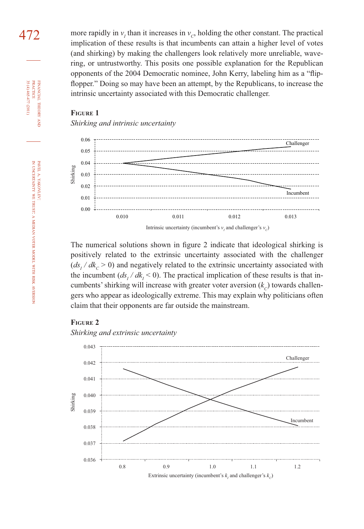472 more rapidly in  $v_I$  than it increases in  $v_C$ , holding the other constant. The practical impliention of these results is that incumbents can ettain a bigher level of veter implication of these results is that incumbents can attain a higher level of votes (and shirking) by making the challengers look relatively more unreliable, wavering, or untrustworthy. This posits one possible explanation for the Republican opponents of the 2004 Democratic nominee, John Kerry, labeling him as a "flipflopper." Doing so may have been an attempt, by the Republicans, to increase the intrinsic uncertainty associated with this Democratic challenger.

#### **FIGURE 1**

*Shirking and intrinsic uncertainty*



The numerical solutions shown in figure 2 indicate that ideological shirking is positively related to the extrinsic uncertainty associated with the challenger  $(ds_1/dk_c > 0)$  and negatively related to the extrinsic uncertainty associated with the incumbent  $(ds_1 / dk_1 < 0)$ . The practical implication of these results is that incumbents' shirking will increase with greater voter aversion  $(k<sub>c</sub>)$  towards challengers who appear as ideologically extreme. This may explain why politicians often claim that their opponents are far outside the mainstream.

#### **FIGURE 2**

*Shirking and extrinsic uncertainty*



WITH RISK AVERSION FINANCIAL

FINANCIAL THEORY<br>PRACTICE 35 (4) 465 477 (2011)

35 (4) 465-477 (2011) PRACTICE

THEORY AND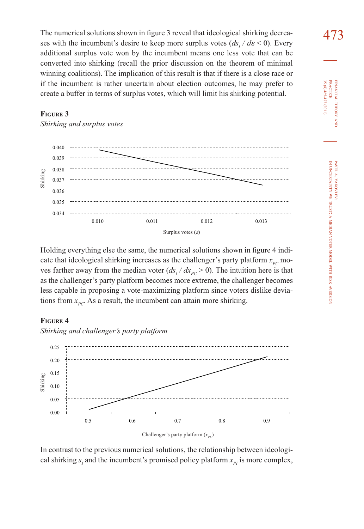The numerical solutions shown in figure 3 reveal that ideological shirking decrea- $473$ ses with the incumbent's desire to keep more surplus votes  $(ds_1 / d\varepsilon < 0)$ . Every additional surplus vote won by the incumbent means one less vote that can be converted into shirking (recall the prior discussion on the theorem of minimal winning coalitions). The implication of this result is that if there is a close race or if the incumbent is rather uncertain about election outcomes, he may prefer to create a buffer in terms of surplus votes, which will limit his shirking potential.





Holding everything else the same, the numerical solutions shown in figure 4 indicate that ideological shirking increases as the challenger's party platform  $x_{pc}$  moves farther away from the median voter  $\left(\frac{ds}{I}\right) \frac{dx}{R_C} > 0$ ). The intuition here is that as the challenger's party platform becomes more extreme, the challenger becomes less capable in proposing a vote-maximizing platform since voters dislike deviations from  $x_{pc}$ . As a result, the incumbent can attain more shirking.

#### **FIGURE 4**



*Shirking and challenger's party platform*

In contrast to the previous numerical solutions, the relationship between ideological shirking  $s<sub>I</sub>$  and the incumbent's promised policy platform  $x<sub>PI</sub>$  is more complex, 35 (4) 465-477 (2011) **PRACTICE** PRACTICE FINANCIAL 35 (4) 465-477 (2011) FINANCIAL THEORY THEORY AND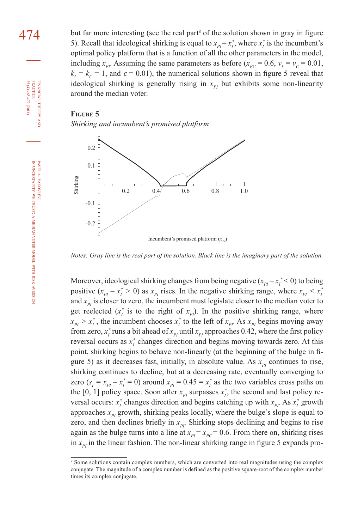$474$  but far more interesting (see the real part<sup>8</sup> of the solution shown in gray in figure<br>
S) Becall that idealogical shirking is equal to  $x = x^*$ , where  $x^*$  is the incumbent's 5). Recall that ideological shirking is equal to  $x_{PI} - x_I^*$ , where  $x_I^*$  is the incumbent's optimal policy platform that is a function of all the other parameters in the model, including  $x_{pr}$ . Assuming the same parameters as before ( $x_{pc} = 0.6$ ,  $v_I = v_C = 0.01$ ,  $k<sub>I</sub> = k<sub>C</sub> = 1$ , and  $\varepsilon = 0.01$ ), the numerical solutions shown in figure 5 reveal that ideological shirking is generally rising in  $x_{pI}$  but exhibits some non-linearity around the median voter.

#### **FIGURE 5**

*Shirking and incumbent's promised platform*



*Notes: Gray line is the real part of the solution. Black line is the imaginary part of the solution.*

Moreover, ideological shirking changes from being negative  $(x_{p_I} - x_I^* < 0)$  to being positive  $(x_{PI} - x_I^* > 0)$  as  $x_{PI}$  rises. In the negative shirking range, where  $x_{PI} < x_I^*$ and  $x_{pI}$  is closer to zero, the incumbent must legislate closer to the median voter to get reelected  $(x_i^*$  is to the right of  $x_{p1}$ ). In the positive shirking range, where  $x_{PI} > x_I^*$ , the incumbent chooses  $x_I^*$  to the left of  $x_{PI}$ . As  $x_{PI}$  begins moving away from zero,  $x_I^*$  runs a bit ahead of  $x_{PI}$  until  $x_{PI}$  approaches 0.42, where the first policy reversal occurs as  $x_i^*$  changes direction and begins moving towards zero. At this point, shirking begins to behave non-linearly (at the beginning of the bulge in figure 5) as it decreases fast, initially, in absolute value. As  $x_{p}$  continues to rise, shirking continues to decline, but at a decreasing rate, eventually converging to zero  $(s<sub>I</sub> = x<sub>PI</sub> - x<sub>I</sub><sup>*</sup> = 0)$  around  $x<sub>PI</sub> = 0.45 = x<sub>I</sub><sup>*</sup>$  as the two variables cross paths on the [0, 1] policy space. Soon after  $x_{pI}$  surpasses  $x_I^*$ , the second and last policy reversal occurs:  $x_i^*$  changes direction and begins catching up with  $x_{pr}$ . As  $x_i^*$  growth approaches  $x_{pI}$  growth, shirking peaks locally, where the bulge's slope is equal to zero, and then declines briefly in  $x_{pr}$ . Shirking stops declining and begins to rise again as the bulge turns into a line at  $x_{pr} = x_{pc} = 0.6$ . From there on, shirking rises in  $x_{pI}$  in the linear fashion. The non-linear shirking range in figure 5 expands pro-

**PRACTICE** 35 (4) 465 477 (2011) 35 (4) 465-477 (2011) PRACTICE FINANCIAL THEORY AND FINANCIAL THEORY

<sup>8</sup> Some solutions contain complex numbers, which are converted into real magnitudes using the complex conjugate. The magnitude of a complex number is defined as the positive square-root of the complex number times its complex conjugate.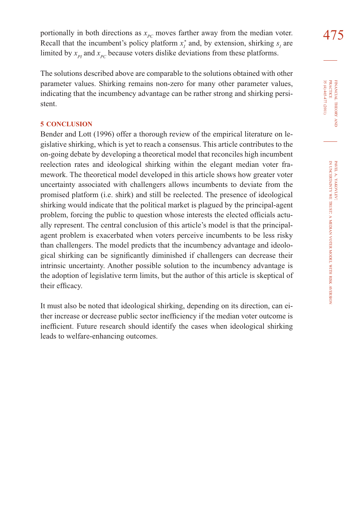portionally in both directions as  $x_{pc}$  moves farther away from the median voter.  $475$ Recall that the incumbent's policy platform  $x_i^*$  and, by extension, shirking  $s_i$  are limited by  $x_{pI}$  and  $x_{pc}$  because voters dislike deviations from these platforms.

The solutions described above are comparable to the solutions obtained with other parameter values. Shirking remains non-zero for many other parameter values, indicating that the incumbency advantage can be rather strong and shirking persistent.

#### **5 CONCLUSION**

Bender and Lott (1996) offer a thorough review of the empirical literature on legislative shirking, which is yet to reach a consensus. This article contributes to the on-going debate by developing a theoretical model that reconciles high incumbent reelection rates and ideological shirking within the elegant median voter framework. The theoretical model developed in this article shows how greater voter uncertainty associated with challengers allows incumbents to deviate from the promised platform (i.e. shirk) and still be reelected. The presence of ideological shirking would indicate that the political market is plagued by the principal-agent problem, forcing the public to question whose interests the elected officials actually represent. The central conclusion of this article's model is that the principalagent problem is exacerbated when voters perceive incumbents to be less risky than challengers. The model predicts that the incumbency advantage and ideological shirking can be significantly diminished if challengers can decrease their intrinsic uncertainty. Another possible solution to the incumbency advantage is the adoption of legislative term limits, but the author of this article is skeptical of their efficacy.

It must also be noted that ideological shirking, depending on its direction, can either increase or decrease public sector inefficiency if the median voter outcome is inefficient. Future research should identify the cases when ideological shirking leads to welfare-enhancing outcomes.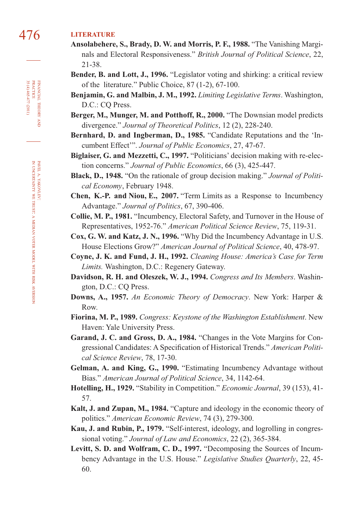# 476 **LITERATURE**

- **Ansolabehere, S., Brady, D. W. and Morris, P. F., 1988.** "The Vanishing Marginals and Electoral Responsiveness." *British Journal of Political Science*, 22, 21-38.
- **Bender, B. and Lott, J., 1996.** "Legislator voting and shirking: a critical review of the literature." Public Choice, 87 (1-2), 67-100.
- **Benjamin, G. and Malbin, J. M., 1992.** *Limiting Legislative Terms*. Washington, D.C.: CQ Press.
- **Berger, M., Munger, M. and Potthoff, R., 2000.** "The Downsian model predicts divergence." *Journal of Theoretical Politics*, 12 (2), 228-240.
- **Bernhard, D. and Ingberman, D., 1985.** "Candidate Reputations and the 'Incumbent Effect'". *Journal of Public Economics*, 27, 47-67.
- **Biglaiser, G. and Mezzetti, C., 1997.** "Politicians' decision making with re-election concerns." *Journal of Public Economics*, 66 (3), 425-447.
- **Black, D., 1948.** "On the rationale of group decision making." *Journal of Political Economy*, February 1948.
- **Chen, K.-P. and Niou, E., 2007.** "Term Limits as a Response to Incumbency Advantage." *Journal of Politics*, 67, 390-406.
- **Collie, M. P., 1981.** "Incumbency, Electoral Safety, and Turnover in the House of Representatives, 1952-76." *American Political Science Review*, 75, 119-31.
- **Cox, G. W. and Katz, J. N., 1996.** "Why Did the Incumbency Advantage in U.S. House Elections Grow?" *American Journal of Political Science*, 40, 478-97.
- **Coyne, J. K. and Fund, J. H., 1992.** *Cleaning House: America's Case for Term Limits.* Washington, D.C.: Regenery Gateway.
- **Davidson, R. H. and Oleszek, W. J., 1994.** *Congress and Its Members*. Washington, D.C.: CQ Press.
- **Downs, A., 1957.** *An Economic Theory of Democracy*. New York: Harper & Row.
- **Fiorina, M. P., 1989.** *Congress: Keystone of the Washington Establishment*. New Haven: Yale University Press.
- **Garand, J. C. and Gross, D. A., 1984.** "Changes in the Vote Margins for Congressional Candidates: A Specification of Historical Trends." *American Political Science Review*, 78, 17-30.
- **Gelman, A. and King, G., 1990.** "Estimating Incumbency Advantage without Bias." *American Journal of Political Science*, 34, 1142-64.
- **Hotelling, H., 1929.** "Stability in Competition." *Economic Journal*, 39 (153), 41- 57.
- **Kalt, J. and Zupan, M., 1984.** "Capture and ideology in the economic theory of politics." *American Economic Review*, 74 (3), 279-300.
- **Kau, J. and Rubin, P., 1979.** "Self-interest, ideology, and logrolling in congressional voting." *Journal of Law and Economics*, 22 (2), 365-384.
- **Levitt, S. D. and Wolfram, C. D., 1997.** "Decomposing the Sources of Incumbency Advantage in the U.S. House." *Legislative Studies Quarterly*, 22, 45- 60.

FINANCIAL THEORY FINANCIAL THEORY AND PRACTICE  $35 \left( 4 \right) 465 \hspace{-0.1cm} + \hspace{-0.1cm} 77 \hspace{-0.1cm} \left( 2011 \right)$ 35 (4) 465-477 (2011) PRACTICE